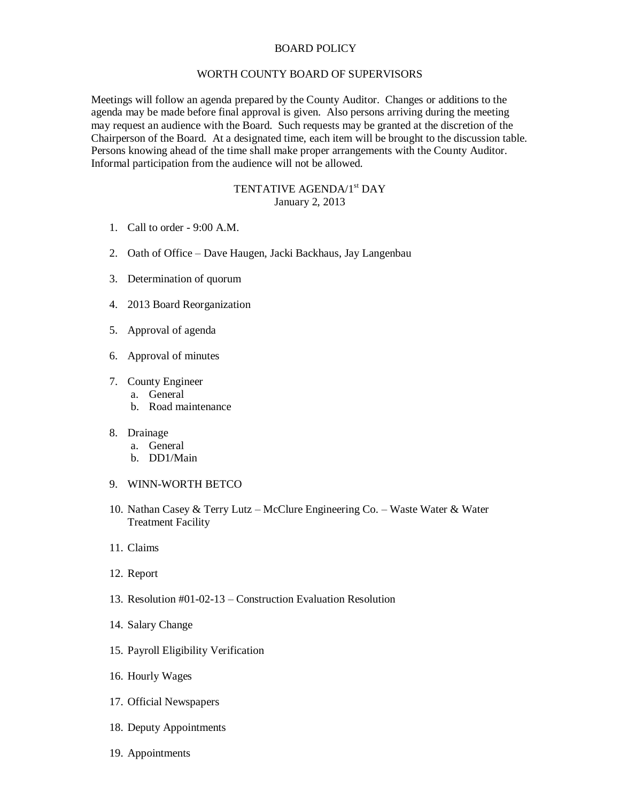## BOARD POLICY

## WORTH COUNTY BOARD OF SUPERVISORS

Meetings will follow an agenda prepared by the County Auditor. Changes or additions to the agenda may be made before final approval is given. Also persons arriving during the meeting may request an audience with the Board. Such requests may be granted at the discretion of the Chairperson of the Board. At a designated time, each item will be brought to the discussion table. Persons knowing ahead of the time shall make proper arrangements with the County Auditor. Informal participation from the audience will not be allowed.

## TENTATIVE AGENDA/1<sup>st</sup> DAY January 2, 2013

- 1. Call to order 9:00 A.M.
- 2. Oath of Office Dave Haugen, Jacki Backhaus, Jay Langenbau
- 3. Determination of quorum
- 4. 2013 Board Reorganization
- 5. Approval of agenda
- 6. Approval of minutes
- 7. County Engineer
	- a. General
	- b. Road maintenance
- 8. Drainage
	- a. General
	- b. DD1/Main
- 9. WINN-WORTH BETCO
- 10. Nathan Casey & Terry Lutz McClure Engineering Co. Waste Water & Water Treatment Facility
- 11. Claims
- 12. Report
- 13. Resolution #01-02-13 Construction Evaluation Resolution
- 14. Salary Change
- 15. Payroll Eligibility Verification
- 16. Hourly Wages
- 17. Official Newspapers
- 18. Deputy Appointments
- 19. Appointments